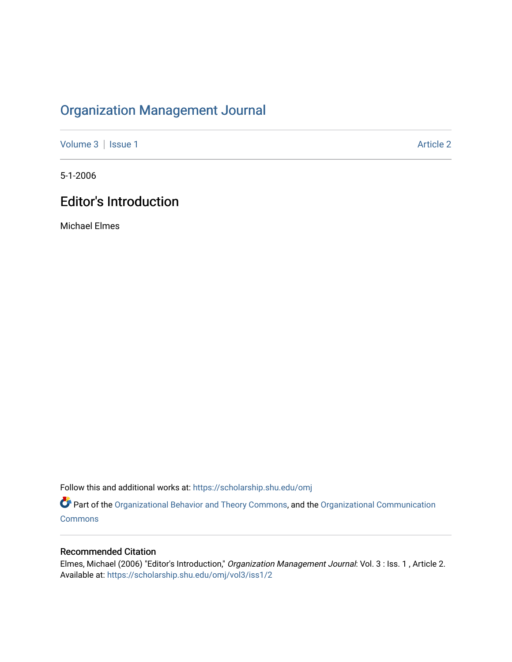## [Organization Management Journal](https://scholarship.shu.edu/omj)

[Volume 3](https://scholarship.shu.edu/omj/vol3) | [Issue 1](https://scholarship.shu.edu/omj/vol3/iss1) Article 2

5-1-2006

## **Editor's Introduction**

Michael Elmes

Follow this and additional works at: [https://scholarship.shu.edu/omj](https://scholarship.shu.edu/omj?utm_source=scholarship.shu.edu%2Fomj%2Fvol3%2Fiss1%2F2&utm_medium=PDF&utm_campaign=PDFCoverPages) 

Part of the [Organizational Behavior and Theory Commons,](http://network.bepress.com/hgg/discipline/639?utm_source=scholarship.shu.edu%2Fomj%2Fvol3%2Fiss1%2F2&utm_medium=PDF&utm_campaign=PDFCoverPages) and the [Organizational Communication](http://network.bepress.com/hgg/discipline/335?utm_source=scholarship.shu.edu%2Fomj%2Fvol3%2Fiss1%2F2&utm_medium=PDF&utm_campaign=PDFCoverPages) [Commons](http://network.bepress.com/hgg/discipline/335?utm_source=scholarship.shu.edu%2Fomj%2Fvol3%2Fiss1%2F2&utm_medium=PDF&utm_campaign=PDFCoverPages)

## Recommended Citation

Elmes, Michael (2006) "Editor's Introduction," Organization Management Journal: Vol. 3 : Iss. 1 , Article 2. Available at: [https://scholarship.shu.edu/omj/vol3/iss1/2](https://scholarship.shu.edu/omj/vol3/iss1/2?utm_source=scholarship.shu.edu%2Fomj%2Fvol3%2Fiss1%2F2&utm_medium=PDF&utm_campaign=PDFCoverPages)